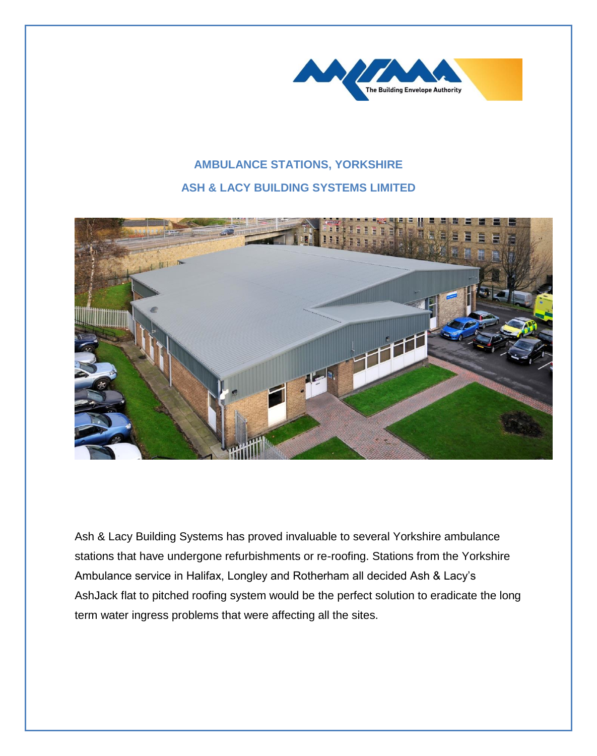

## **AMBULANCE STATIONS, YORKSHIRE ASH & LACY BUILDING SYSTEMS LIMITED**



Ash & Lacy Building Systems has proved invaluable to several Yorkshire ambulance stations that have undergone refurbishments or re-roofing. Stations from the Yorkshire Ambulance service in Halifax, Longley and Rotherham all decided Ash & Lacy's AshJack flat to pitched roofing system would be the perfect solution to eradicate the long term water ingress problems that were affecting all the sites.